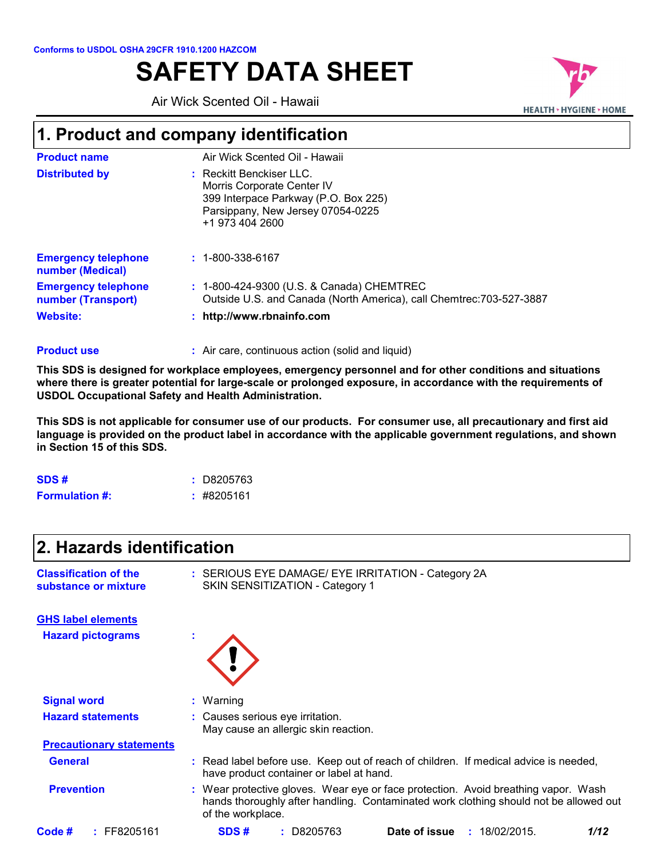# **SAFETY DATA SHEET**

Air Wick Scented Oil - Hawaii



## **1. Product and company identification**

| <b>Product name</b>                              | Air Wick Scented Oil - Hawaii                                                                                                                          |
|--------------------------------------------------|--------------------------------------------------------------------------------------------------------------------------------------------------------|
| <b>Distributed by</b>                            | : Reckitt Benckiser LLC.<br>Morris Corporate Center IV<br>399 Interpace Parkway (P.O. Box 225)<br>Parsippany, New Jersey 07054-0225<br>+1 973 404 2600 |
| <b>Emergency telephone</b><br>number (Medical)   | $: 1 - 800 - 338 - 6167$                                                                                                                               |
| <b>Emergency telephone</b><br>number (Transport) | : 1-800-424-9300 (U.S. & Canada) CHEMTREC<br>Outside U.S. and Canada (North America), call Chemtrec: 703-527-3887                                      |
| <b>Website:</b>                                  | : http://www.rbnainfo.com                                                                                                                              |
|                                                  |                                                                                                                                                        |

#### Air care, continuous action (solid and liquid) **: Product use**

**This SDS is designed for workplace employees, emergency personnel and for other conditions and situations where there is greater potential for large-scale or prolonged exposure, in accordance with the requirements of USDOL Occupational Safety and Health Administration.**

**This SDS is not applicable for consumer use of our products. For consumer use, all precautionary and first aid language is provided on the product label in accordance with the applicable government regulations, and shown in Section 15 of this SDS.**

| SDS#                  | : D8205763     |
|-----------------------|----------------|
| <b>Formulation #:</b> | $\pm$ #8205161 |

| 2. Hazards identification                            |                                                                                                                                                                                                  |
|------------------------------------------------------|--------------------------------------------------------------------------------------------------------------------------------------------------------------------------------------------------|
| <b>Classification of the</b><br>substance or mixture | : SERIOUS EYE DAMAGE/ EYE IRRITATION - Category 2A<br>SKIN SENSITIZATION - Category 1                                                                                                            |
| <b>GHS label elements</b>                            |                                                                                                                                                                                                  |
| <b>Hazard pictograms</b>                             |                                                                                                                                                                                                  |
| <b>Signal word</b>                                   | $:$ Warning                                                                                                                                                                                      |
| <b>Hazard statements</b>                             | : Causes serious eye irritation.<br>May cause an allergic skin reaction.                                                                                                                         |
| <b>Precautionary statements</b>                      |                                                                                                                                                                                                  |
| <b>General</b>                                       | : Read label before use. Keep out of reach of children. If medical advice is needed,<br>have product container or label at hand.                                                                 |
| <b>Prevention</b>                                    | : Wear protective gloves. Wear eye or face protection. Avoid breathing vapor. Wash<br>hands thoroughly after handling. Contaminated work clothing should not be allowed out<br>of the workplace. |
| $:$ FF8205161<br>Code #                              | Date of issue<br>SDS#<br>D8205763<br>: 18/02/2015<br>1/12                                                                                                                                        |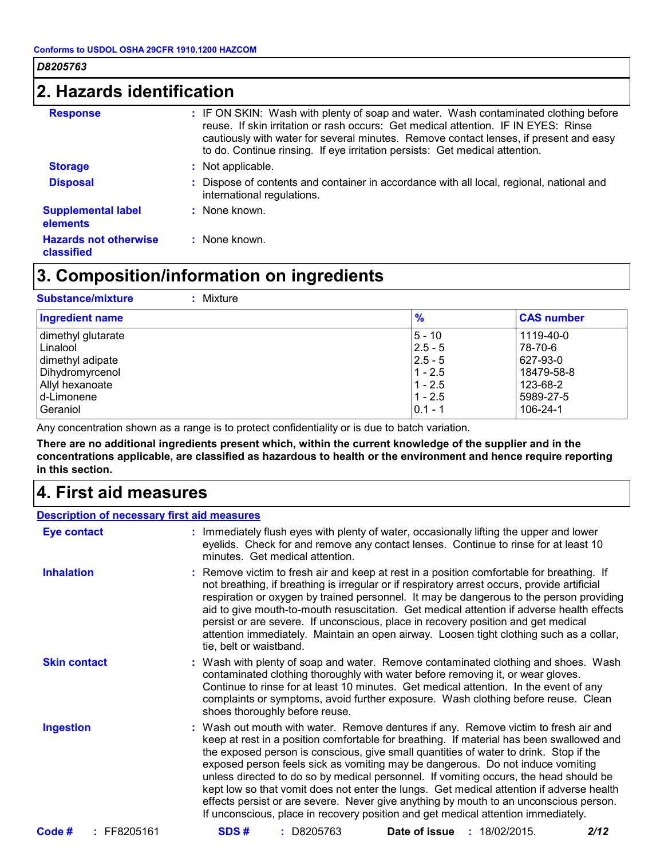## **2. Hazards identification**

| <b>Response</b>                              | : IF ON SKIN: Wash with plenty of soap and water. Wash contaminated clothing before<br>reuse. If skin irritation or rash occurs: Get medical attention. IF IN EYES: Rinse<br>cautiously with water for several minutes. Remove contact lenses, if present and easy<br>to do. Continue rinsing. If eye irritation persists: Get medical attention. |
|----------------------------------------------|---------------------------------------------------------------------------------------------------------------------------------------------------------------------------------------------------------------------------------------------------------------------------------------------------------------------------------------------------|
| <b>Storage</b>                               | : Not applicable.                                                                                                                                                                                                                                                                                                                                 |
| <b>Disposal</b>                              | : Dispose of contents and container in accordance with all local, regional, national and<br>international regulations.                                                                                                                                                                                                                            |
| <b>Supplemental label</b><br><b>elements</b> | : None known.                                                                                                                                                                                                                                                                                                                                     |
| <b>Hazards not otherwise</b><br>classified   | : None known.                                                                                                                                                                                                                                                                                                                                     |

## **3. Composition/information on ingredients**

| $\frac{9}{6}$ | <b>CAS number</b> |
|---------------|-------------------|
| $5 - 10$      | 1119-40-0         |
| $ 2.5 - 5 $   | 78-70-6           |
| $ 2.5 - 5 $   | 627-93-0          |
| $1 - 2.5$     | 18479-58-8        |
| $1 - 2.5$     | 123-68-2          |
| $1 - 2.5$     | 5989-27-5         |
| $0.1 - 1$     | 106-24-1          |
|               |                   |

Any concentration shown as a range is to protect confidentiality or is due to batch variation.

**There are no additional ingredients present which, within the current knowledge of the supplier and in the concentrations applicable, are classified as hazardous to health or the environment and hence require reporting in this section.**

## **4. First aid measures**

| <b>Description of necessary first aid measures</b> |                                                                                                                                                                                                                                                                                                                                                                                                                                                                                                                                                                                                                                                                                                                               |
|----------------------------------------------------|-------------------------------------------------------------------------------------------------------------------------------------------------------------------------------------------------------------------------------------------------------------------------------------------------------------------------------------------------------------------------------------------------------------------------------------------------------------------------------------------------------------------------------------------------------------------------------------------------------------------------------------------------------------------------------------------------------------------------------|
| <b>Eye contact</b>                                 | : Immediately flush eyes with plenty of water, occasionally lifting the upper and lower<br>eyelids. Check for and remove any contact lenses. Continue to rinse for at least 10<br>minutes. Get medical attention.                                                                                                                                                                                                                                                                                                                                                                                                                                                                                                             |
| <b>Inhalation</b>                                  | : Remove victim to fresh air and keep at rest in a position comfortable for breathing. If<br>not breathing, if breathing is irregular or if respiratory arrest occurs, provide artificial<br>respiration or oxygen by trained personnel. It may be dangerous to the person providing<br>aid to give mouth-to-mouth resuscitation. Get medical attention if adverse health effects<br>persist or are severe. If unconscious, place in recovery position and get medical<br>attention immediately. Maintain an open airway. Loosen tight clothing such as a collar,<br>tie, belt or waistband.                                                                                                                                  |
| <b>Skin contact</b>                                | : Wash with plenty of soap and water. Remove contaminated clothing and shoes. Wash<br>contaminated clothing thoroughly with water before removing it, or wear gloves.<br>Continue to rinse for at least 10 minutes. Get medical attention. In the event of any<br>complaints or symptoms, avoid further exposure. Wash clothing before reuse. Clean<br>shoes thoroughly before reuse.                                                                                                                                                                                                                                                                                                                                         |
| <b>Ingestion</b>                                   | : Wash out mouth with water. Remove dentures if any. Remove victim to fresh air and<br>keep at rest in a position comfortable for breathing. If material has been swallowed and<br>the exposed person is conscious, give small quantities of water to drink. Stop if the<br>exposed person feels sick as vomiting may be dangerous. Do not induce vomiting<br>unless directed to do so by medical personnel. If vomiting occurs, the head should be<br>kept low so that vomit does not enter the lungs. Get medical attention if adverse health<br>effects persist or are severe. Never give anything by mouth to an unconscious person.<br>If unconscious, place in recovery position and get medical attention immediately. |
| Code#<br>$:$ FF8205161                             | SDS#<br>: D8205763<br><b>Date of issue : 18/02/2015.</b><br>2/12                                                                                                                                                                                                                                                                                                                                                                                                                                                                                                                                                                                                                                                              |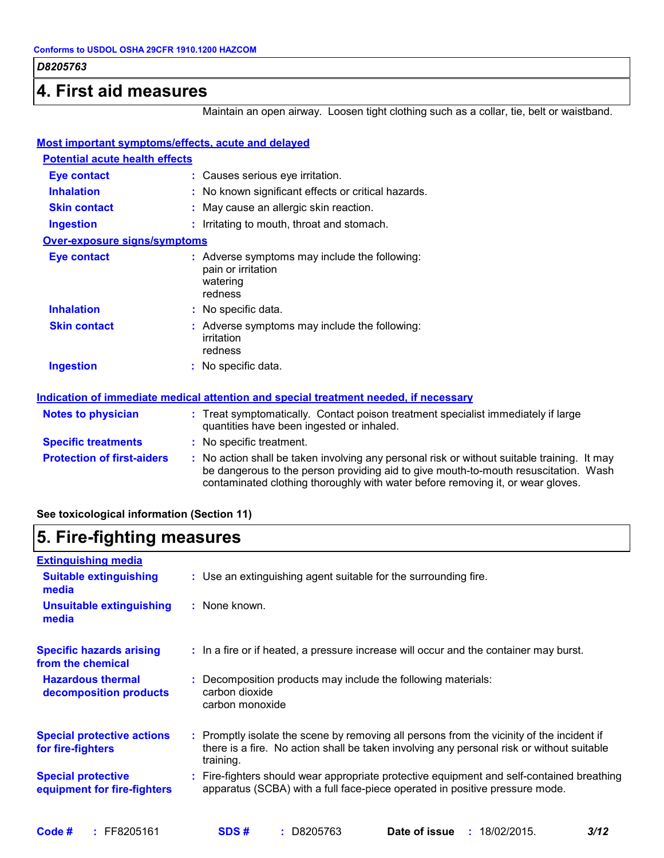### **4. First aid measures**

Maintain an open airway. Loosen tight clothing such as a collar, tie, belt or waistband.

| Most important symptoms/effects, acute and delayed |                                                                                                                                                                                                                                                                       |
|----------------------------------------------------|-----------------------------------------------------------------------------------------------------------------------------------------------------------------------------------------------------------------------------------------------------------------------|
| <b>Potential acute health effects</b>              |                                                                                                                                                                                                                                                                       |
| <b>Eye contact</b>                                 | : Causes serious eye irritation.                                                                                                                                                                                                                                      |
| <b>Inhalation</b>                                  | : No known significant effects or critical hazards.                                                                                                                                                                                                                   |
| <b>Skin contact</b>                                | : May cause an allergic skin reaction.                                                                                                                                                                                                                                |
| <b>Ingestion</b>                                   | : Irritating to mouth, throat and stomach.                                                                                                                                                                                                                            |
| <b>Over-exposure signs/symptoms</b>                |                                                                                                                                                                                                                                                                       |
| <b>Eye contact</b>                                 | : Adverse symptoms may include the following:<br>pain or irritation<br>watering<br>redness                                                                                                                                                                            |
| <b>Inhalation</b>                                  | : No specific data.                                                                                                                                                                                                                                                   |
| <b>Skin contact</b>                                | : Adverse symptoms may include the following:<br>irritation<br>redness                                                                                                                                                                                                |
| <b>Ingestion</b>                                   | : No specific data.                                                                                                                                                                                                                                                   |
|                                                    | Indication of immediate medical attention and special treatment needed, if necessary                                                                                                                                                                                  |
| <b>Notes to physician</b>                          | : Treat symptomatically. Contact poison treatment specialist immediately if large<br>quantities have been ingested or inhaled.                                                                                                                                        |
| <b>Specific treatments</b>                         | : No specific treatment.                                                                                                                                                                                                                                              |
| <b>Protection of first-aiders</b>                  | : No action shall be taken involving any personal risk or without suitable training. It may<br>be dangerous to the person providing aid to give mouth-to-mouth resuscitation. Wash<br>contaminated clothing thoroughly with water before removing it, or wear gloves. |

### **See toxicological information (Section 11)**

## **5. Fire-fighting measures**

| <b>Extinguishing media</b>                               |                                                                                                                                                                                                     |
|----------------------------------------------------------|-----------------------------------------------------------------------------------------------------------------------------------------------------------------------------------------------------|
| <b>Suitable extinguishing</b><br>media                   | : Use an extinguishing agent suitable for the surrounding fire.                                                                                                                                     |
| <b>Unsuitable extinguishing</b><br>media                 | : None known.                                                                                                                                                                                       |
| <b>Specific hazards arising</b><br>from the chemical     | : In a fire or if heated, a pressure increase will occur and the container may burst.                                                                                                               |
| <b>Hazardous thermal</b><br>decomposition products       | Decomposition products may include the following materials:<br>carbon dioxide<br>carbon monoxide                                                                                                    |
| <b>Special protective actions</b><br>for fire-fighters   | : Promptly isolate the scene by removing all persons from the vicinity of the incident if<br>there is a fire. No action shall be taken involving any personal risk or without suitable<br>training. |
| <b>Special protective</b><br>equipment for fire-fighters | Fire-fighters should wear appropriate protective equipment and self-contained breathing<br>apparatus (SCBA) with a full face-piece operated in positive pressure mode.                              |
|                                                          |                                                                                                                                                                                                     |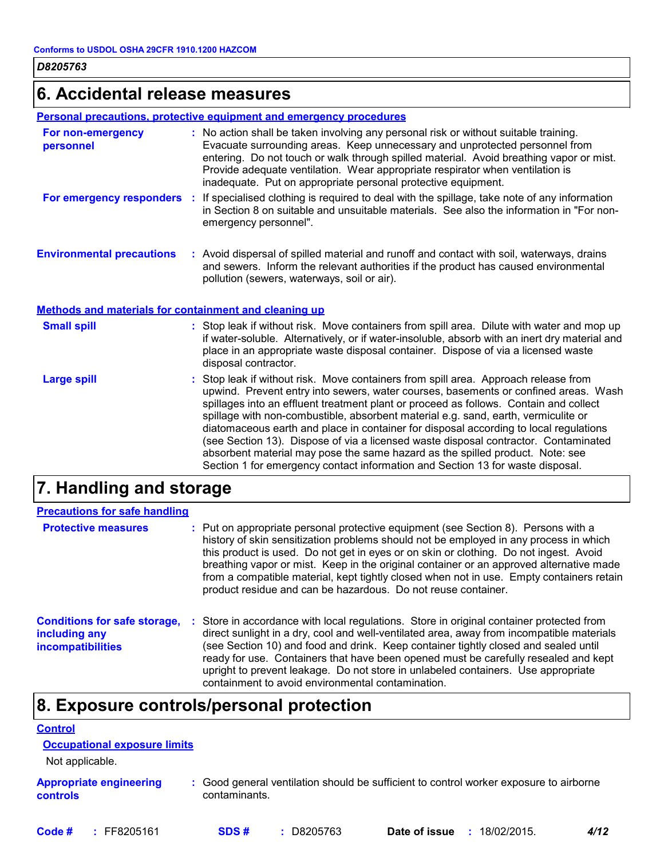## **6. Accidental release measures**

#### **Personal precautions, protective equipment and emergency procedures**

| For non-emergency<br>personnel   | : No action shall be taken involving any personal risk or without suitable training.<br>Evacuate surrounding areas. Keep unnecessary and unprotected personnel from<br>entering. Do not touch or walk through spilled material. Avoid breathing vapor or mist.<br>Provide adequate ventilation. Wear appropriate respirator when ventilation is<br>inadequate. Put on appropriate personal protective equipment. |
|----------------------------------|------------------------------------------------------------------------------------------------------------------------------------------------------------------------------------------------------------------------------------------------------------------------------------------------------------------------------------------------------------------------------------------------------------------|
| For emergency responders         | If specialised clothing is required to deal with the spillage, take note of any information<br>in Section 8 on suitable and unsuitable materials. See also the information in "For non-<br>emergency personnel".                                                                                                                                                                                                 |
| <b>Environmental precautions</b> | : Avoid dispersal of spilled material and runoff and contact with soil, waterways, drains<br>and sewers. Inform the relevant authorities if the product has caused environmental<br>pollution (sewers, waterways, soil or air).                                                                                                                                                                                  |

#### **Methods and materials for containment and cleaning up**

| <b>Small spill</b> | : Stop leak if without risk. Move containers from spill area. Dilute with water and mop up<br>if water-soluble. Alternatively, or if water-insoluble, absorb with an inert dry material and<br>place in an appropriate waste disposal container. Dispose of via a licensed waste<br>disposal contractor.                                                                                                                                                                                                                                                                                                                                                                                                     |
|--------------------|--------------------------------------------------------------------------------------------------------------------------------------------------------------------------------------------------------------------------------------------------------------------------------------------------------------------------------------------------------------------------------------------------------------------------------------------------------------------------------------------------------------------------------------------------------------------------------------------------------------------------------------------------------------------------------------------------------------|
| <b>Large spill</b> | : Stop leak if without risk. Move containers from spill area. Approach release from<br>upwind. Prevent entry into sewers, water courses, basements or confined areas. Wash<br>spillages into an effluent treatment plant or proceed as follows. Contain and collect<br>spillage with non-combustible, absorbent material e.g. sand, earth, vermiculite or<br>diatomaceous earth and place in container for disposal according to local regulations<br>(see Section 13). Dispose of via a licensed waste disposal contractor. Contaminated<br>absorbent material may pose the same hazard as the spilled product. Note: see<br>Section 1 for emergency contact information and Section 13 for waste disposal. |

## **7. Handling and storage**

| <b>Precautions for safe handling</b>                                             |                                                                                                                                                                                                                                                                                                                                                                                                                                                                                                                              |
|----------------------------------------------------------------------------------|------------------------------------------------------------------------------------------------------------------------------------------------------------------------------------------------------------------------------------------------------------------------------------------------------------------------------------------------------------------------------------------------------------------------------------------------------------------------------------------------------------------------------|
| <b>Protective measures</b>                                                       | : Put on appropriate personal protective equipment (see Section 8). Persons with a<br>history of skin sensitization problems should not be employed in any process in which<br>this product is used. Do not get in eyes or on skin or clothing. Do not ingest. Avoid<br>breathing vapor or mist. Keep in the original container or an approved alternative made<br>from a compatible material, kept tightly closed when not in use. Empty containers retain<br>product residue and can be hazardous. Do not reuse container. |
| <b>Conditions for safe storage,</b><br>including any<br><b>incompatibilities</b> | : Store in accordance with local regulations. Store in original container protected from<br>direct sunlight in a dry, cool and well-ventilated area, away from incompatible materials<br>(see Section 10) and food and drink. Keep container tightly closed and sealed until<br>ready for use. Containers that have been opened must be carefully resealed and kept<br>upright to prevent leakage. Do not store in unlabeled containers. Use appropriate<br>containment to avoid environmental contamination.                |

## **8. Exposure controls/personal protection**

| <b>Control</b>                             |                                                                                                         |
|--------------------------------------------|---------------------------------------------------------------------------------------------------------|
| <b>Occupational exposure limits</b>        |                                                                                                         |
| Not applicable.                            |                                                                                                         |
| <b>Appropriate engineering</b><br>controls | : Good general ventilation should be sufficient to control worker exposure to airborne<br>contaminants. |
|                                            |                                                                                                         |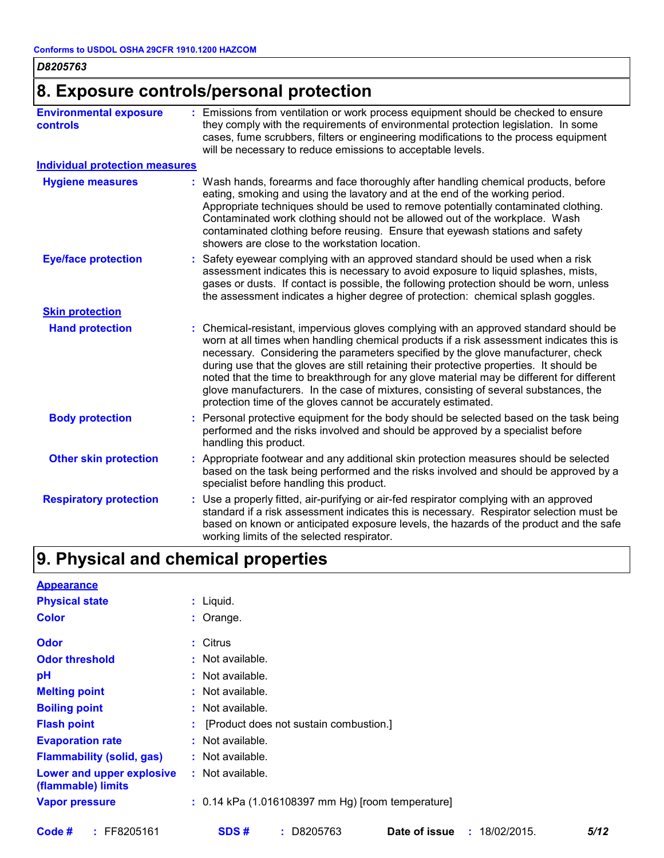| D8205763 |  |
|----------|--|
|----------|--|

## **8. Exposure controls/personal protection**

| <b>Environmental exposure</b><br><b>controls</b> | : Emissions from ventilation or work process equipment should be checked to ensure<br>they comply with the requirements of environmental protection legislation. In some<br>cases, fume scrubbers, filters or engineering modifications to the process equipment<br>will be necessary to reduce emissions to acceptable levels.                                                                                                                                                                                                                                                                                        |
|--------------------------------------------------|------------------------------------------------------------------------------------------------------------------------------------------------------------------------------------------------------------------------------------------------------------------------------------------------------------------------------------------------------------------------------------------------------------------------------------------------------------------------------------------------------------------------------------------------------------------------------------------------------------------------|
| <b>Individual protection measures</b>            |                                                                                                                                                                                                                                                                                                                                                                                                                                                                                                                                                                                                                        |
| <b>Hygiene measures</b>                          | : Wash hands, forearms and face thoroughly after handling chemical products, before<br>eating, smoking and using the lavatory and at the end of the working period.<br>Appropriate techniques should be used to remove potentially contaminated clothing.<br>Contaminated work clothing should not be allowed out of the workplace. Wash<br>contaminated clothing before reusing. Ensure that eyewash stations and safety<br>showers are close to the workstation location.                                                                                                                                            |
| <b>Eye/face protection</b>                       | : Safety eyewear complying with an approved standard should be used when a risk<br>assessment indicates this is necessary to avoid exposure to liquid splashes, mists,<br>gases or dusts. If contact is possible, the following protection should be worn, unless<br>the assessment indicates a higher degree of protection: chemical splash goggles.                                                                                                                                                                                                                                                                  |
| <b>Skin protection</b>                           |                                                                                                                                                                                                                                                                                                                                                                                                                                                                                                                                                                                                                        |
| <b>Hand protection</b>                           | : Chemical-resistant, impervious gloves complying with an approved standard should be<br>worn at all times when handling chemical products if a risk assessment indicates this is<br>necessary. Considering the parameters specified by the glove manufacturer, check<br>during use that the gloves are still retaining their protective properties. It should be<br>noted that the time to breakthrough for any glove material may be different for different<br>glove manufacturers. In the case of mixtures, consisting of several substances, the<br>protection time of the gloves cannot be accurately estimated. |
| <b>Body protection</b>                           | : Personal protective equipment for the body should be selected based on the task being<br>performed and the risks involved and should be approved by a specialist before<br>handling this product.                                                                                                                                                                                                                                                                                                                                                                                                                    |
| <b>Other skin protection</b>                     | : Appropriate footwear and any additional skin protection measures should be selected<br>based on the task being performed and the risks involved and should be approved by a<br>specialist before handling this product.                                                                                                                                                                                                                                                                                                                                                                                              |
| <b>Respiratory protection</b>                    | : Use a properly fitted, air-purifying or air-fed respirator complying with an approved<br>standard if a risk assessment indicates this is necessary. Respirator selection must be<br>based on known or anticipated exposure levels, the hazards of the product and the safe<br>working limits of the selected respirator.                                                                                                                                                                                                                                                                                             |

## **9. Physical and chemical properties**

| <b>Appearance</b>                               |                                                         |      |
|-------------------------------------------------|---------------------------------------------------------|------|
| <b>Physical state</b>                           | : Liquid.                                               |      |
| <b>Color</b>                                    | $:$ Orange.                                             |      |
| <b>Odor</b>                                     | : Citrus                                                |      |
| <b>Odor threshold</b>                           | : Not available.                                        |      |
| pH                                              | : Not available.                                        |      |
| <b>Melting point</b>                            | : Not available.                                        |      |
| <b>Boiling point</b>                            | : Not available.                                        |      |
| <b>Flash point</b>                              | : [Product does not sustain combustion.]                |      |
| <b>Evaporation rate</b>                         | : Not available.                                        |      |
| <b>Flammability (solid, gas)</b>                | : Not available.                                        |      |
| Lower and upper explosive<br>(flammable) limits | : Not available.                                        |      |
| <b>Vapor pressure</b>                           | $: 0.14$ kPa (1.016108397 mm Hg) [room temperature]     |      |
| $:$ FF8205161<br>Code #                         | SDS#<br>$: $ D8205763<br>Date of issue<br>: 18/02/2015. | 5/12 |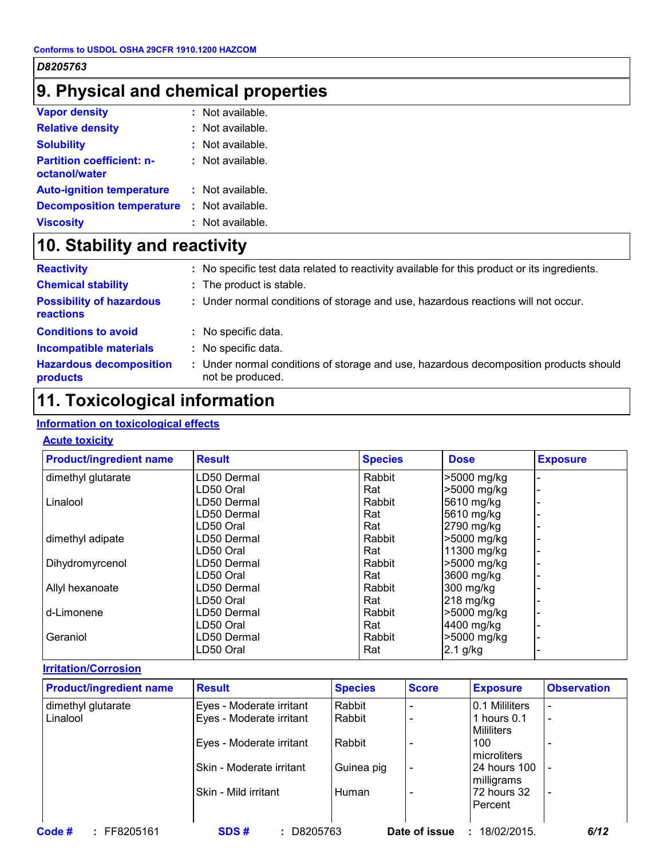## **9. Physical and chemical properties**

| <b>Vapor density</b>                              | $:$ Not available. |
|---------------------------------------------------|--------------------|
| <b>Relative density</b>                           | $:$ Not available. |
| <b>Solubility</b>                                 | $:$ Not available. |
| <b>Partition coefficient: n-</b><br>octanol/water | $:$ Not available. |
| <b>Auto-ignition temperature</b>                  | $:$ Not available. |
| <b>Decomposition temperature</b>                  | : Not available.   |
| <b>Viscosity</b>                                  | : Not available.   |

## **10. Stability and reactivity**

| <b>Reactivity</b>                            |    | : No specific test data related to reactivity available for this product or its ingredients.            |
|----------------------------------------------|----|---------------------------------------------------------------------------------------------------------|
| <b>Chemical stability</b>                    |    | : The product is stable.                                                                                |
| <b>Possibility of hazardous</b><br>reactions |    | : Under normal conditions of storage and use, hazardous reactions will not occur.                       |
| <b>Conditions to avoid</b>                   |    | : No specific data.                                                                                     |
| <b>Incompatible materials</b>                |    | : No specific data.                                                                                     |
| <b>Hazardous decomposition</b><br>products   | a. | Under normal conditions of storage and use, hazardous decomposition products should<br>not be produced. |

## **11. Toxicological information**

### **Information on toxicological effects**

#### **Acute toxicity**

| <b>Product/ingredient name</b> | <b>Result</b> | <b>Species</b> | <b>Dose</b> | <b>Exposure</b> |
|--------------------------------|---------------|----------------|-------------|-----------------|
| dimethyl glutarate             | LD50 Dermal   | Rabbit         | >5000 mg/kg |                 |
|                                | LD50 Oral     | Rat            | >5000 mg/kg |                 |
| Linalool                       | LD50 Dermal   | Rabbit         | 5610 mg/kg  |                 |
|                                | LD50 Dermal   | Rat            | 5610 mg/kg  |                 |
|                                | LD50 Oral     | Rat            | 2790 mg/kg  |                 |
| dimethyl adipate               | LD50 Dermal   | Rabbit         | >5000 mg/kg |                 |
|                                | LD50 Oral     | Rat            | 11300 mg/kg |                 |
| Dihydromyrcenol                | LD50 Dermal   | Rabbit         | >5000 mg/kg |                 |
|                                | LD50 Oral     | Rat            | 3600 mg/kg  |                 |
| Allyl hexanoate                | LD50 Dermal   | Rabbit         | 300 mg/kg   |                 |
|                                | LD50 Oral     | Rat            | $218$ mg/kg |                 |
| d-Limonene                     | LD50 Dermal   | Rabbit         | >5000 mg/kg |                 |
|                                | LD50 Oral     | Rat            | 4400 mg/kg  |                 |
| Geraniol                       | LD50 Dermal   | Rabbit         | >5000 mg/kg |                 |
|                                | LD50 Oral     | Rat            | 2.1 g/kg    |                 |

#### **Irritation/Corrosion**

| <b>Product/ingredient name</b> | <b>Result</b>            | <b>Species</b> | <b>Score</b>  | <b>Exposure</b>   | <b>Observation</b>       |
|--------------------------------|--------------------------|----------------|---------------|-------------------|--------------------------|
| dimethyl glutarate             | Eyes - Moderate irritant | Rabbit         |               | 0.1 Mililiters    |                          |
| Linalool                       | Eyes - Moderate irritant | Rabbit         |               | 1 hours $0.1$     | $\overline{\phantom{a}}$ |
|                                |                          |                |               | <b>Mililiters</b> |                          |
|                                | Eyes - Moderate irritant | Rabbit         |               | 100               |                          |
|                                |                          |                |               | microliters       |                          |
|                                | Skin - Moderate irritant | Guinea pig     |               | 24 hours 100      |                          |
|                                |                          |                |               | milligrams        |                          |
|                                | Skin - Mild irritant     | Human          |               | 72 hours 32       | $\overline{\phantom{a}}$ |
|                                |                          |                |               | Percent           |                          |
|                                |                          |                |               |                   |                          |
| Code #<br>$:$ FF8205161        | D8205763<br>SDS#         |                | Date of issue | 18/02/2015<br>÷.  | 6/12                     |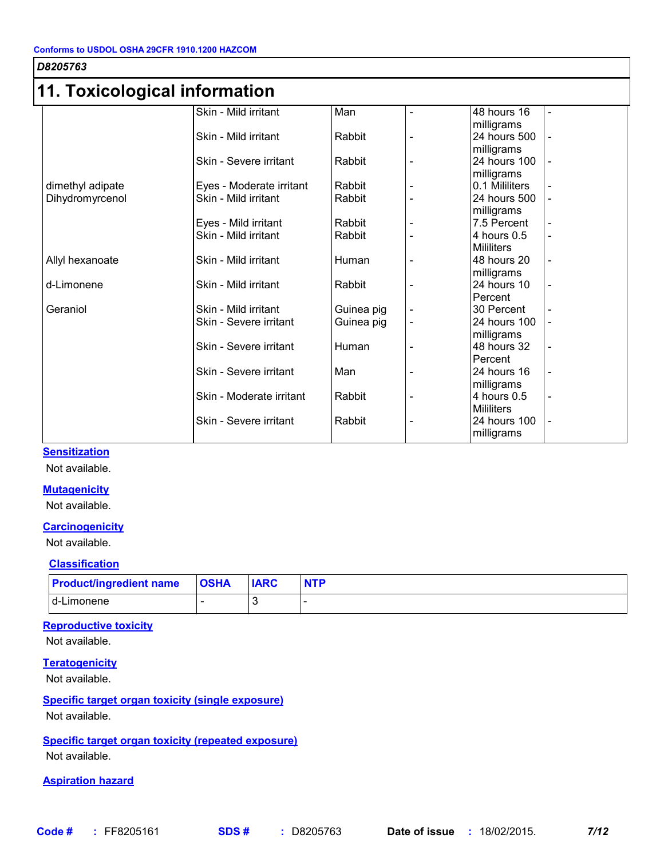## **11. Toxicological information**

| ו ו. רטגוטטוועןוטמו ווווטוווומנוטוו |                          |            |                          |                   |                |
|-------------------------------------|--------------------------|------------|--------------------------|-------------------|----------------|
|                                     | Skin - Mild irritant     | Man        | $\blacksquare$           | 48 hours 16       | $\blacksquare$ |
|                                     |                          |            |                          | milligrams        |                |
|                                     | Skin - Mild irritant     | Rabbit     |                          | 24 hours 500      |                |
|                                     |                          |            |                          | milligrams        |                |
|                                     | Skin - Severe irritant   | Rabbit     | Ē,                       | 24 hours 100      |                |
|                                     |                          |            |                          | milligrams        |                |
| dimethyl adipate                    | Eyes - Moderate irritant | Rabbit     |                          | 0.1 Mililiters    |                |
| Dihydromyrcenol                     | Skin - Mild irritant     | Rabbit     |                          | 24 hours 500      |                |
|                                     |                          |            |                          | milligrams        |                |
|                                     | Eyes - Mild irritant     | Rabbit     |                          | 7.5 Percent       |                |
|                                     | Skin - Mild irritant     | Rabbit     |                          | 4 hours 0.5       | $\blacksquare$ |
|                                     |                          |            |                          | <b>Mililiters</b> |                |
| Allyl hexanoate                     | Skin - Mild irritant     | Human      |                          | 48 hours 20       |                |
|                                     |                          |            |                          | milligrams        |                |
| d-Limonene                          | Skin - Mild irritant     | Rabbit     |                          | 24 hours 10       |                |
|                                     |                          |            |                          | Percent           |                |
| Geraniol                            | Skin - Mild irritant     | Guinea pig | $\overline{\phantom{a}}$ | 30 Percent        |                |
|                                     | Skin - Severe irritant   | Guinea pig |                          | 24 hours 100      |                |
|                                     |                          |            |                          | milligrams        |                |
|                                     | Skin - Severe irritant   | Human      | $\blacksquare$           | 48 hours 32       | $\blacksquare$ |
|                                     |                          |            |                          | Percent           |                |
|                                     | Skin - Severe irritant   | Man        | $\blacksquare$           | 24 hours 16       | $\blacksquare$ |
|                                     |                          |            |                          | milligrams        |                |
|                                     | Skin - Moderate irritant | Rabbit     |                          | 4 hours 0.5       |                |
|                                     |                          |            |                          | <b>Mililiters</b> |                |
|                                     | Skin - Severe irritant   | Rabbit     |                          | 24 hours 100      |                |
|                                     |                          |            |                          | milligrams        |                |

#### **Sensitization**

Not available.

#### **Mutagenicity**

Not available.

#### **Carcinogenicity**

Not available.

#### **Classification**

| <b>Product/ingredient name</b> | <b>OSHA</b> | <b>IARC</b> | <b>NTP</b> |
|--------------------------------|-------------|-------------|------------|
| I d-Limonene                   |             |             |            |

#### **Reproductive toxicity**

Not available.

#### **Teratogenicity**

Not available.

## **Specific target organ toxicity (single exposure)**

Not available.

**Specific target organ toxicity (repeated exposure)** Not available.

#### **Aspiration hazard**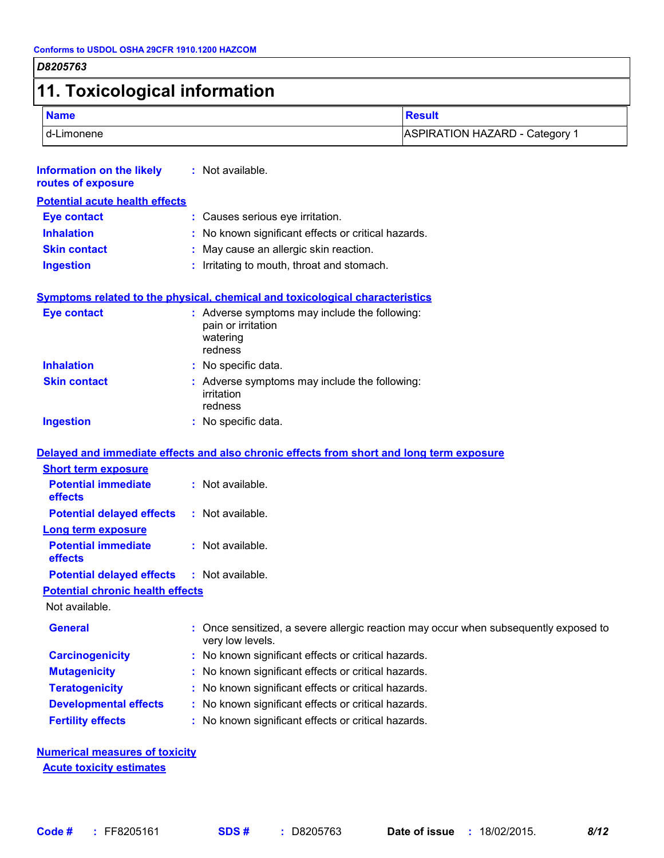# **11. Toxicological information**

| <b>Name</b> | <b>Result</b>                         |
|-------------|---------------------------------------|
| d-Limonene  | <b>ASPIRATION HAZARD - Category 1</b> |

| <b>Information on the likely</b><br>routes of exposure             | : Not available.                                                                                       |
|--------------------------------------------------------------------|--------------------------------------------------------------------------------------------------------|
| <b>Potential acute health effects</b>                              |                                                                                                        |
| <b>Eye contact</b>                                                 | : Causes serious eye irritation.                                                                       |
| <b>Inhalation</b>                                                  | No known significant effects or critical hazards.                                                      |
| <b>Skin contact</b>                                                | May cause an allergic skin reaction.                                                                   |
| <b>Ingestion</b>                                                   | Irritating to mouth, throat and stomach.                                                               |
|                                                                    | Symptoms related to the physical, chemical and toxicological characteristics                           |
| <b>Eye contact</b>                                                 | : Adverse symptoms may include the following:<br>pain or irritation<br>watering<br>redness             |
| <b>Inhalation</b>                                                  | : No specific data.                                                                                    |
| <b>Skin contact</b>                                                | : Adverse symptoms may include the following:<br>irritation<br>redness                                 |
| <b>Ingestion</b>                                                   | : No specific data.                                                                                    |
|                                                                    |                                                                                                        |
|                                                                    | Delayed and immediate effects and also chronic effects from short and long term exposure               |
| <b>Short term exposure</b>                                         |                                                                                                        |
| <b>Potential immediate</b><br>effects                              | : Not available.                                                                                       |
| <b>Potential delayed effects</b>                                   | : Not available.                                                                                       |
| <b>Long term exposure</b><br><b>Potential immediate</b><br>effects | : Not available.                                                                                       |
| <b>Potential delayed effects</b>                                   | : Not available.                                                                                       |
| <b>Potential chronic health effects</b>                            |                                                                                                        |
| Not available.                                                     |                                                                                                        |
| <b>General</b>                                                     | Once sensitized, a severe allergic reaction may occur when subsequently exposed to<br>very low levels. |
| <b>Carcinogenicity</b>                                             | No known significant effects or critical hazards.                                                      |
| <b>Mutagenicity</b>                                                | No known significant effects or critical hazards.                                                      |
| <b>Teratogenicity</b>                                              | No known significant effects or critical hazards.                                                      |
| <b>Developmental effects</b>                                       | No known significant effects or critical hazards.                                                      |
| <b>Fertility effects</b>                                           | No known significant effects or critical hazards.                                                      |
|                                                                    |                                                                                                        |

**Numerical measures of toxicity Acute toxicity estimates**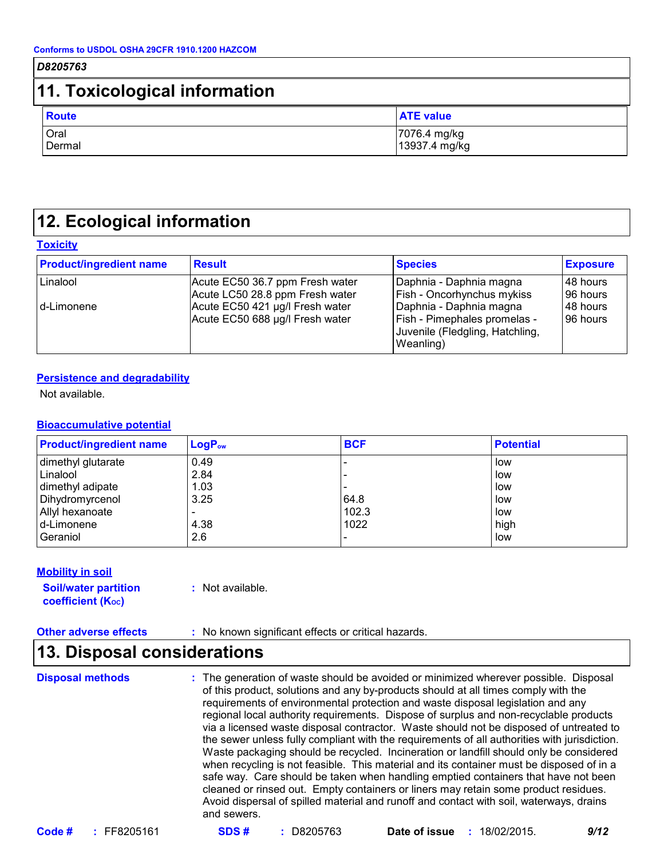## **11. Toxicological information**

| <b>Route</b> | <b>ATE value</b> |
|--------------|------------------|
| Oral         | 7076.4 mg/kg     |
| Dermal       | 13937.4 mg/kg    |

## **12. Ecological information**

#### **Toxicity**

| <b>Product/ingredient name</b> | <b>Result</b>                                                      | <b>Species</b>                                                                                                 | <b>Exposure</b>         |
|--------------------------------|--------------------------------------------------------------------|----------------------------------------------------------------------------------------------------------------|-------------------------|
| Linalool                       | Acute EC50 36.7 ppm Fresh water<br>Acute LC50 28.8 ppm Fresh water | Daphnia - Daphnia magna<br><b>Fish - Oncorhynchus mykiss</b>                                                   | l 48 hours<br>196 hours |
| l d-Limonene                   | Acute EC50 421 µg/l Fresh water<br>Acute EC50 688 µg/l Fresh water | Daphnia - Daphnia magna<br><b>Fish - Pimephales promelas -</b><br>Juvenile (Fledgling, Hatchling,<br>Weanling) | l 48 hours<br>96 hours  |

#### **Persistence and degradability**

Not available.

#### **Bioaccumulative potential**

| <b>Product/ingredient name</b> | $LogP_{ow}$ | <b>BCF</b> | <b>Potential</b> |
|--------------------------------|-------------|------------|------------------|
| dimethyl glutarate             | 0.49        |            | low              |
| Linalool                       | 2.84        |            | low              |
| dimethyl adipate               | 1.03        |            | low              |
| Dihydromyrcenol                | 3.25        | 64.8       | low              |
| Allyl hexanoate                |             | 102.3      | low              |
| d-Limonene                     | 4.38        | 1022       | high             |
| Geraniol                       | 2.6         |            | low              |

#### **Mobility in soil**

**Soil/water partition coefficient (KOC)**

**:** Not available.

**Other adverse effects :** No known significant effects or critical hazards.

### **13. Disposal considerations**

**Disposal methods :**

The generation of waste should be avoided or minimized wherever possible. Disposal of this product, solutions and any by-products should at all times comply with the requirements of environmental protection and waste disposal legislation and any regional local authority requirements. Dispose of surplus and non-recyclable products via a licensed waste disposal contractor. Waste should not be disposed of untreated to the sewer unless fully compliant with the requirements of all authorities with jurisdiction. Waste packaging should be recycled. Incineration or landfill should only be considered when recycling is not feasible. This material and its container must be disposed of in a safe way. Care should be taken when handling emptied containers that have not been cleaned or rinsed out. Empty containers or liners may retain some product residues. Avoid dispersal of spilled material and runoff and contact with soil, waterways, drains and sewers.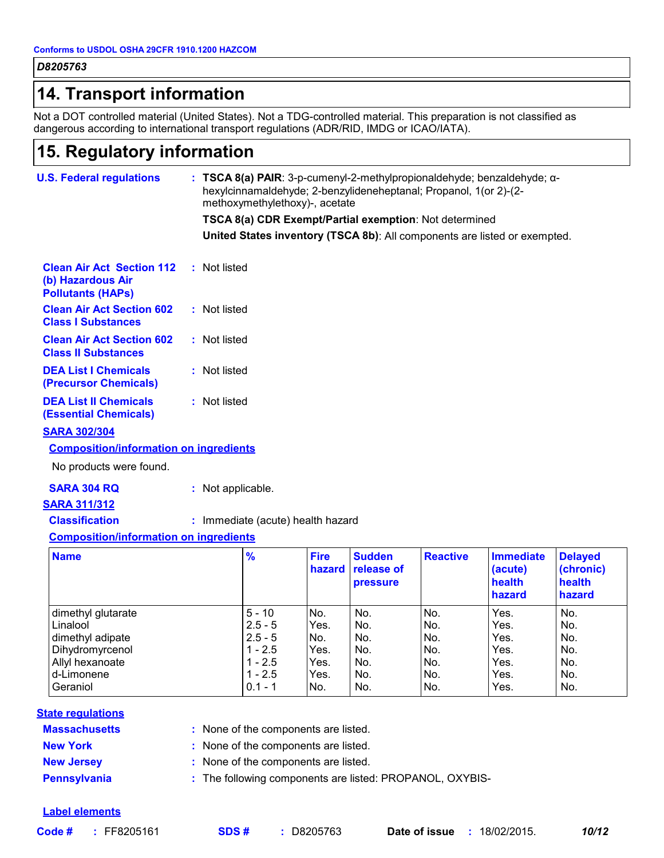## **14. Transport information**

Not a DOT controlled material (United States). Not a TDG-controlled material. This preparation is not classified as dangerous according to international transport regulations (ADR/RID, IMDG or ICAO/IATA).

## **15. Regulatory information**

| <b>U.S. Federal regulations</b>                                                   | : TSCA 8(a) PAIR: 3-p-cumenyl-2-methylpropionaldehyde; benzaldehyde; $\alpha$ -<br>hexylcinnamaldehyde; 2-benzylideneheptanal; Propanol, 1(or 2)-(2-<br>methoxymethylethoxy)-, acetate |                       |                                                |                 |                                       |                                       |  |
|-----------------------------------------------------------------------------------|----------------------------------------------------------------------------------------------------------------------------------------------------------------------------------------|-----------------------|------------------------------------------------|-----------------|---------------------------------------|---------------------------------------|--|
|                                                                                   | TSCA 8(a) CDR Exempt/Partial exemption: Not determined                                                                                                                                 |                       |                                                |                 |                                       |                                       |  |
|                                                                                   | United States inventory (TSCA 8b): All components are listed or exempted.                                                                                                              |                       |                                                |                 |                                       |                                       |  |
| <b>Clean Air Act Section 112</b><br>(b) Hazardous Air<br><b>Pollutants (HAPs)</b> | : Not listed                                                                                                                                                                           |                       |                                                |                 |                                       |                                       |  |
| <b>Clean Air Act Section 602</b><br><b>Class I Substances</b>                     | : Not listed                                                                                                                                                                           |                       |                                                |                 |                                       |                                       |  |
| <b>Clean Air Act Section 602</b><br><b>Class II Substances</b>                    | : Not listed                                                                                                                                                                           |                       |                                                |                 |                                       |                                       |  |
| <b>DEA List I Chemicals</b><br>(Precursor Chemicals)                              | : Not listed                                                                                                                                                                           |                       |                                                |                 |                                       |                                       |  |
| <b>DEA List II Chemicals</b><br><b>(Essential Chemicals)</b>                      | : Not listed                                                                                                                                                                           |                       |                                                |                 |                                       |                                       |  |
| <b>SARA 302/304</b>                                                               |                                                                                                                                                                                        |                       |                                                |                 |                                       |                                       |  |
| <b>Composition/information on ingredients</b>                                     |                                                                                                                                                                                        |                       |                                                |                 |                                       |                                       |  |
| No products were found.                                                           |                                                                                                                                                                                        |                       |                                                |                 |                                       |                                       |  |
| <b>SARA 304 RQ</b>                                                                | : Not applicable.                                                                                                                                                                      |                       |                                                |                 |                                       |                                       |  |
| <b>SARA 311/312</b>                                                               |                                                                                                                                                                                        |                       |                                                |                 |                                       |                                       |  |
| <b>Classification</b>                                                             | : Immediate (acute) health hazard                                                                                                                                                      |                       |                                                |                 |                                       |                                       |  |
| <b>Composition/information on ingredients</b>                                     |                                                                                                                                                                                        |                       |                                                |                 |                                       |                                       |  |
| <b>Name</b>                                                                       | %                                                                                                                                                                                      | <b>Fire</b><br>hazard | <b>Sudden</b><br>release of<br><b>pressure</b> | <b>Reactive</b> | <b>Immediate</b><br>(acute)<br>health | <b>Delayed</b><br>(chronic)<br>health |  |

|                    |           |      | <b>Inazard Trelease of</b><br><b>pressure</b> |     | (acute)<br>health<br>hazard | (Chronic)<br>health<br>hazard |
|--------------------|-----------|------|-----------------------------------------------|-----|-----------------------------|-------------------------------|
| dimethyl glutarate | $5 - 10$  | No.  | No.                                           | No. | Yes.                        | No.                           |
| Linalool           | $2.5 - 5$ | Yes. | No.                                           | No. | Yes.                        | No.                           |
| dimethyl adipate   | $2.5 - 5$ | INo. | No.                                           | No. | Yes.                        | No.                           |
| Dihydromyrcenol    | 1 - 2.5   | Yes. | No.                                           | No. | Yes.                        | No.                           |
| Allyl hexanoate    | $1 - 2.5$ | Yes. | No.                                           | No. | Yes.                        | No.                           |
| d-Limonene         | $1 - 2.5$ | Yes. | No.                                           | No. | Yes.                        | No.                           |
| Geraniol           | $0.1 - 1$ | INo. | No.                                           | No. | Yes.                        | No.                           |
|                    |           |      |                                               |     |                             |                               |

#### **State regulations**

| <b>Massachusetts</b> | : None of the components are listed.      |
|----------------------|-------------------------------------------|
| <b>New York</b>      | : None of the components are listed.      |
| <b>New Jersey</b>    | : None of the components are listed.      |
| <b>Pennsylvania</b>  | : The following components are listed: PF |

#### **Label elements**

**PROPANOL, OXYBIS-**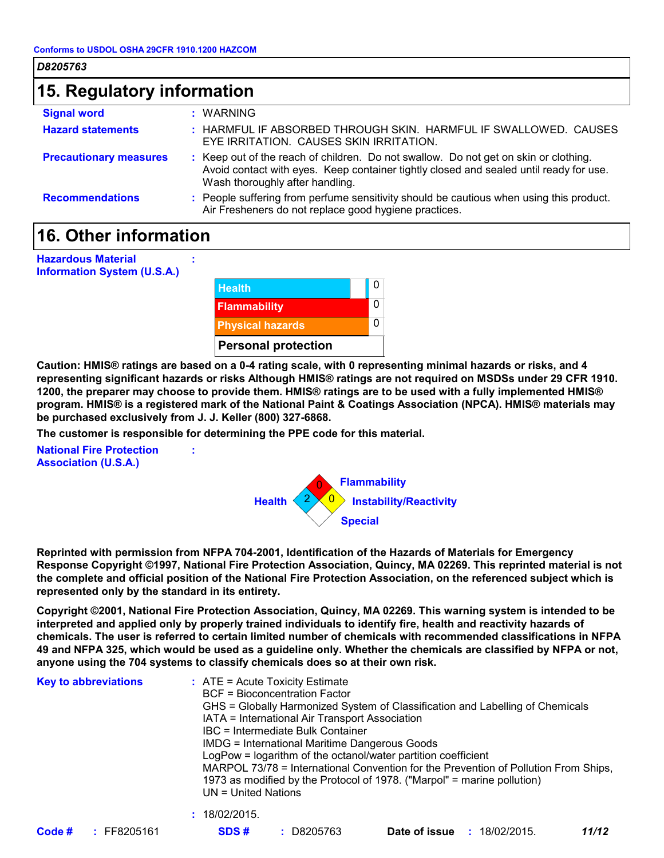| D8205763                      |                                                                                                                                                                                                                   |  |  |  |  |
|-------------------------------|-------------------------------------------------------------------------------------------------------------------------------------------------------------------------------------------------------------------|--|--|--|--|
| 15. Regulatory information    |                                                                                                                                                                                                                   |  |  |  |  |
| <b>Signal word</b>            | : WARNING                                                                                                                                                                                                         |  |  |  |  |
| <b>Hazard statements</b>      | : HARMFUL IF ABSORBED THROUGH SKIN. HARMFUL IF SWALLOWED. CAUSES<br>EYE IRRITATION. CAUSES SKIN IRRITATION.                                                                                                       |  |  |  |  |
| <b>Precautionary measures</b> | : Keep out of the reach of children. Do not swallow. Do not get on skin or clothing.<br>Avoid contact with eyes. Keep container tightly closed and sealed until ready for use.<br>Wash thoroughly after handling. |  |  |  |  |
| <b>Recommendations</b>        | : People suffering from perfume sensitivity should be cautious when using this product.<br>Air Fresheners do not replace good hygiene practices.                                                                  |  |  |  |  |

## **16. Other information**

| <b>Hazardous Material</b><br><b>Information System (U.S.A.)</b> |               |                            |   |
|-----------------------------------------------------------------|---------------|----------------------------|---|
|                                                                 | <b>Health</b> |                            | 0 |
|                                                                 |               | <b>Flammability</b>        | 0 |
|                                                                 |               | <b>Physical hazards</b>    | 0 |
|                                                                 |               | <b>Personal protection</b> |   |

**Caution: HMIS® ratings are based on a 0-4 rating scale, with 0 representing minimal hazards or risks, and 4 representing significant hazards or risks Although HMIS® ratings are not required on MSDSs under 29 CFR 1910. 1200, the preparer may choose to provide them. HMIS® ratings are to be used with a fully implemented HMIS® program. HMIS® is a registered mark of the National Paint & Coatings Association (NPCA). HMIS® materials may be purchased exclusively from J. J. Keller (800) 327-6868.**

**The customer is responsible for determining the PPE code for this material.**

**:**

**National Fire Protection Association (U.S.A.)**



**Reprinted with permission from NFPA 704-2001, Identification of the Hazards of Materials for Emergency Response Copyright ©1997, National Fire Protection Association, Quincy, MA 02269. This reprinted material is not the complete and official position of the National Fire Protection Association, on the referenced subject which is represented only by the standard in its entirety.**

**Copyright ©2001, National Fire Protection Association, Quincy, MA 02269. This warning system is intended to be interpreted and applied only by properly trained individuals to identify fire, health and reactivity hazards of chemicals. The user is referred to certain limited number of chemicals with recommended classifications in NFPA 49 and NFPA 325, which would be used as a guideline only. Whether the chemicals are classified by NFPA or not, anyone using the 704 systems to classify chemicals does so at their own risk.**

| <b>Key to abbreviations</b> | $\therefore$ ATE = Acute Toxicity Estimate<br><b>BCF</b> = Bioconcentration Factor<br>GHS = Globally Harmonized System of Classification and Labelling of Chemicals<br>IATA = International Air Transport Association<br>IBC = Intermediate Bulk Container<br><b>IMDG = International Maritime Dangerous Goods</b><br>LogPow = logarithm of the octanol/water partition coefficient<br>MARPOL 73/78 = International Convention for the Prevention of Pollution From Ships,<br>1973 as modified by the Protocol of 1978. ("Marpol" = marine pollution)<br>$UN = United Nations$ |
|-----------------------------|--------------------------------------------------------------------------------------------------------------------------------------------------------------------------------------------------------------------------------------------------------------------------------------------------------------------------------------------------------------------------------------------------------------------------------------------------------------------------------------------------------------------------------------------------------------------------------|
|                             | : 18/02/2015.                                                                                                                                                                                                                                                                                                                                                                                                                                                                                                                                                                  |

| Code # | FF8205161 |
|--------|-----------|
|        |           |

**Code # :** FF8205161 **SDS # :** D8205763 **Date of issue :**18/02/2015. *11/12*